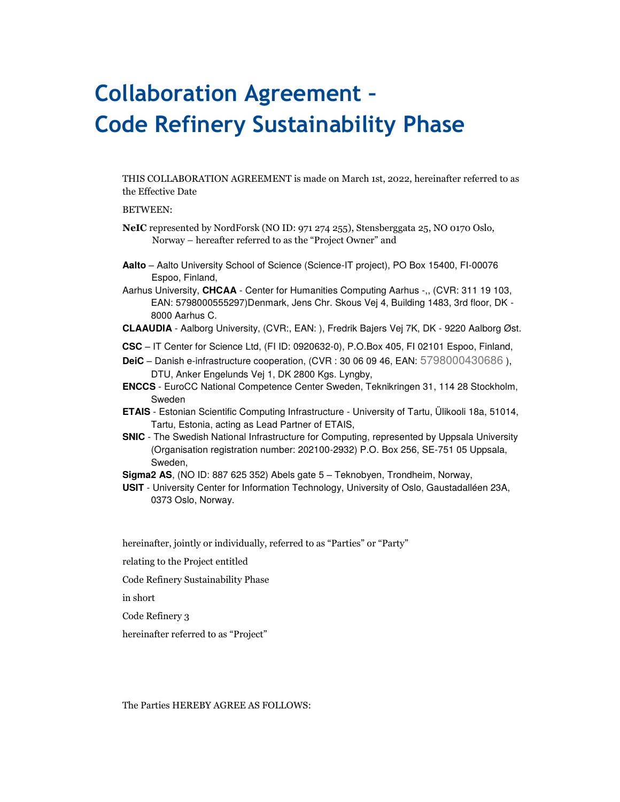# **Collaboration Agreement – Code Refinery Sustainability Phase**

THIS COLLABORATION AGREEMENT is made on March 1st, 2022, hereinafter referred to as the Effective Date

#### BETWEEN:

- **NeIC** represented by NordForsk (NO ID: 971 274 255), Stensberggata 25, NO 0170 Oslo, Norway – hereafter referred to as the "Project Owner" and
- **Aalto** Aalto University School of Science (Science-IT project), PO Box 15400, FI-00076 Espoo, Finland,
- Aarhus University, **CHCAA**  Center for Humanities Computing Aarhus -,, (CVR: 311 19 103, EAN: 5798000555297)Denmark, Jens Chr. Skous Vej 4, Building 1483, 3rd floor, DK - 8000 Aarhus C.
- **CLAAUDIA** Aalborg University, (CVR:, EAN: ), Fredrik Bajers Vej 7K, DK 9220 Aalborg Øst.
- **CSC** IT Center for Science Ltd, (FI ID: 0920632-0), P.O.Box 405, FI 02101 Espoo, Finland,
- **DeiC**  Danish e-infrastructure cooperation, (CVR : 30 06 09 46, EAN: 5798000430686 ), DTU, Anker Engelunds Vej 1, DK 2800 Kgs. Lyngby,
- **ENCCS**  EuroCC National Competence Center Sweden, Teknikringen 31, 114 28 Stockholm, Sweden
- **ETAIS** Estonian Scientific Computing Infrastructure University of Tartu, Ülikooli 18a, 51014, Tartu, Estonia, acting as Lead Partner of ETAIS,
- **SNIC** The Swedish National Infrastructure for Computing, represented by Uppsala University (Organisation registration number: 202100-2932) P.O. Box 256, SE-751 05 Uppsala, Sweden,
- **Sigma2 AS**, (NO ID: 887 625 352) Abels gate 5 Teknobyen, Trondheim, Norway,
- **USIT** University Center for Information Technology, University of Oslo, Gaustadalléen 23A, 0373 Oslo, Norway.

hereinafter, jointly or individually, referred to as "Parties" or "Party"

- relating to the Project entitled
- Code Refinery Sustainability Phase

in short

Code Refinery 3

hereinafter referred to as "Project"

The Parties HEREBY AGREE AS FOLLOWS: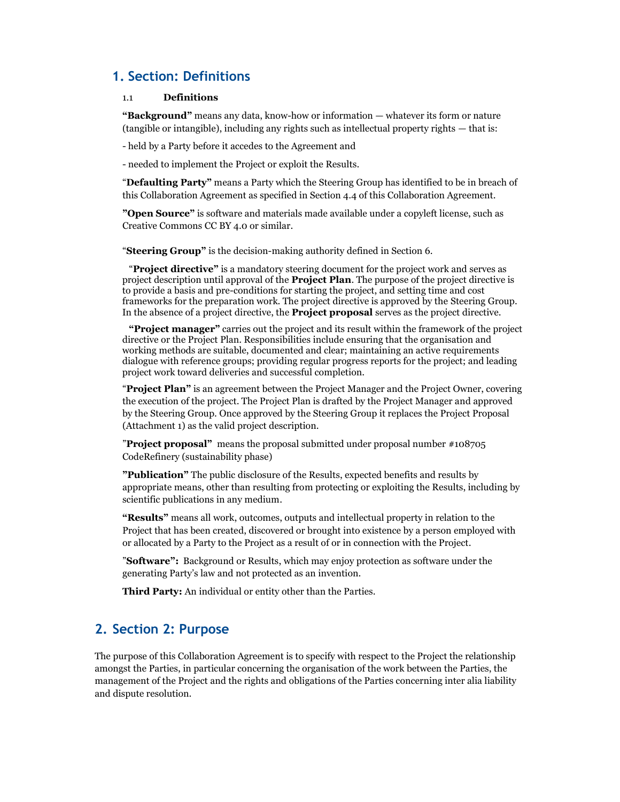## **1. Section: Definitions**

#### 1.1 **Definitions**

**"Background"** means any data, know-how or information — whatever its form or nature (tangible or intangible), including any rights such as intellectual property rights — that is:

- held by a Party before it accedes to the Agreement and

- needed to implement the Project or exploit the Results.

"**Defaulting Party"** means a Party which the Steering Group has identified to be in breach of this Collaboration Agreement as specified in Section 4.4 of this Collaboration Agreement.

**"Open Source"** is software and materials made available under a copyleft license, such as Creative Commons CC BY 4.0 or similar.

"**Steering Group"** is the decision-making authority defined in Section 6.

 "**Project directive"** is a mandatory steering document for the project work and serves as project description until approval of the **Project Plan**. The purpose of the project directive is to provide a basis and pre-conditions for starting the project, and setting time and cost frameworks for the preparation work. The project directive is approved by the Steering Group. In the absence of a project directive, the **Project proposal** serves as the project directive.

**"Project manager"** carries out the project and its result within the framework of the project directive or the Project Plan. Responsibilities include ensuring that the organisation and working methods are suitable, documented and clear; maintaining an active requirements dialogue with reference groups; providing regular progress reports for the project; and leading project work toward deliveries and successful completion.

"**Project Plan"** is an agreement between the Project Manager and the Project Owner, covering the execution of the project. The Project Plan is drafted by the Project Manager and approved by the Steering Group. Once approved by the Steering Group it replaces the Project Proposal (Attachment 1) as the valid project description.

"**Project proposal"** means the proposal submitted under proposal number #108705 CodeRefinery (sustainability phase)

**"Publication"** The public disclosure of the Results, expected benefits and results by appropriate means, other than resulting from protecting or exploiting the Results, including by scientific publications in any medium.

**"Results"** means all work, outcomes, outputs and intellectual property in relation to the Project that has been created, discovered or brought into existence by a person employed with or allocated by a Party to the Project as a result of or in connection with the Project.

"**Software":** Background or Results, which may enjoy protection as software under the generating Party's law and not protected as an invention.

**Third Party:** An individual or entity other than the Parties.

## **2. Section 2: Purpose**

The purpose of this Collaboration Agreement is to specify with respect to the Project the relationship amongst the Parties, in particular concerning the organisation of the work between the Parties, the management of the Project and the rights and obligations of the Parties concerning inter alia liability and dispute resolution.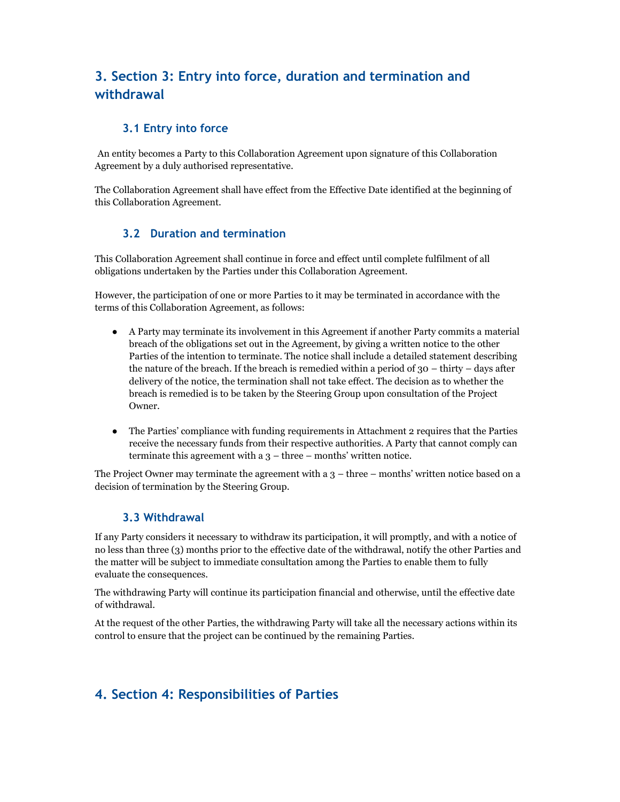# **3. Section 3: Entry into force, duration and termination and withdrawal**

## **3.1 Entry into force**

An entity becomes a Party to this Collaboration Agreement upon signature of this Collaboration Agreement by a duly authorised representative.

The Collaboration Agreement shall have effect from the Effective Date identified at the beginning of this Collaboration Agreement.

## **3.2 Duration and termination**

This Collaboration Agreement shall continue in force and effect until complete fulfilment of all obligations undertaken by the Parties under this Collaboration Agreement.

However, the participation of one or more Parties to it may be terminated in accordance with the terms of this Collaboration Agreement, as follows:

- A Party may terminate its involvement in this Agreement if another Party commits a material breach of the obligations set out in the Agreement, by giving a written notice to the other Parties of the intention to terminate. The notice shall include a detailed statement describing the nature of the breach. If the breach is remedied within a period of 30 – thirty – days after delivery of the notice, the termination shall not take effect. The decision as to whether the breach is remedied is to be taken by the Steering Group upon consultation of the Project Owner.
- The Parties' compliance with funding requirements in Attachment 2 requires that the Parties receive the necessary funds from their respective authorities. A Party that cannot comply can terminate this agreement with a 3 – three – months' written notice.

The Project Owner may terminate the agreement with a  $3$  – three – months' written notice based on a decision of termination by the Steering Group.

#### **3.3 Withdrawal**

If any Party considers it necessary to withdraw its participation, it will promptly, and with a notice of no less than three (3) months prior to the effective date of the withdrawal, notify the other Parties and the matter will be subject to immediate consultation among the Parties to enable them to fully evaluate the consequences.

The withdrawing Party will continue its participation financial and otherwise, until the effective date of withdrawal.

At the request of the other Parties, the withdrawing Party will take all the necessary actions within its control to ensure that the project can be continued by the remaining Parties.

# **4. Section 4: Responsibilities of Parties**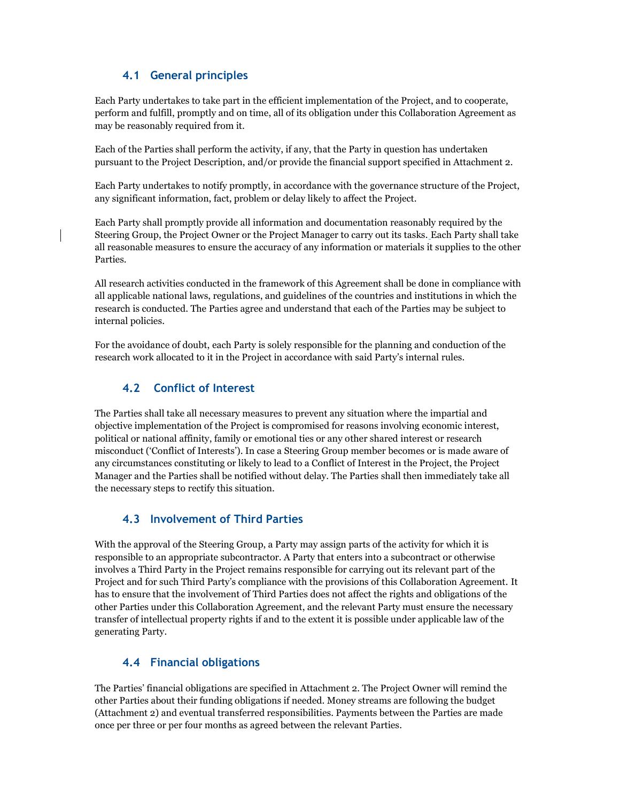## **4.1 General principles**

Each Party undertakes to take part in the efficient implementation of the Project, and to cooperate, perform and fulfill, promptly and on time, all of its obligation under this Collaboration Agreement as may be reasonably required from it.

Each of the Parties shall perform the activity, if any, that the Party in question has undertaken pursuant to the Project Description, and/or provide the financial support specified in Attachment 2.

Each Party undertakes to notify promptly, in accordance with the governance structure of the Project, any significant information, fact, problem or delay likely to affect the Project.

Each Party shall promptly provide all information and documentation reasonably required by the Steering Group, the Project Owner or the Project Manager to carry out its tasks. Each Party shall take all reasonable measures to ensure the accuracy of any information or materials it supplies to the other Parties.

All research activities conducted in the framework of this Agreement shall be done in compliance with all applicable national laws, regulations, and guidelines of the countries and institutions in which the research is conducted. The Parties agree and understand that each of the Parties may be subject to internal policies.

For the avoidance of doubt, each Party is solely responsible for the planning and conduction of the research work allocated to it in the Project in accordance with said Party's internal rules.

#### **4.2 Conflict of Interest**

The Parties shall take all necessary measures to prevent any situation where the impartial and objective implementation of the Project is compromised for reasons involving economic interest, political or national affinity, family or emotional ties or any other shared interest or research misconduct ('Conflict of Interests'). In case a Steering Group member becomes or is made aware of any circumstances constituting or likely to lead to a Conflict of Interest in the Project, the Project Manager and the Parties shall be notified without delay. The Parties shall then immediately take all the necessary steps to rectify this situation.

#### **4.3 Involvement of Third Parties**

With the approval of the Steering Group, a Party may assign parts of the activity for which it is responsible to an appropriate subcontractor. A Party that enters into a subcontract or otherwise involves a Third Party in the Project remains responsible for carrying out its relevant part of the Project and for such Third Party's compliance with the provisions of this Collaboration Agreement. It has to ensure that the involvement of Third Parties does not affect the rights and obligations of the other Parties under this Collaboration Agreement, and the relevant Party must ensure the necessary transfer of intellectual property rights if and to the extent it is possible under applicable law of the generating Party.

## **4.4 Financial obligations**

The Parties' financial obligations are specified in Attachment 2. The Project Owner will remind the other Parties about their funding obligations if needed. Money streams are following the budget (Attachment 2) and eventual transferred responsibilities. Payments between the Parties are made once per three or per four months as agreed between the relevant Parties.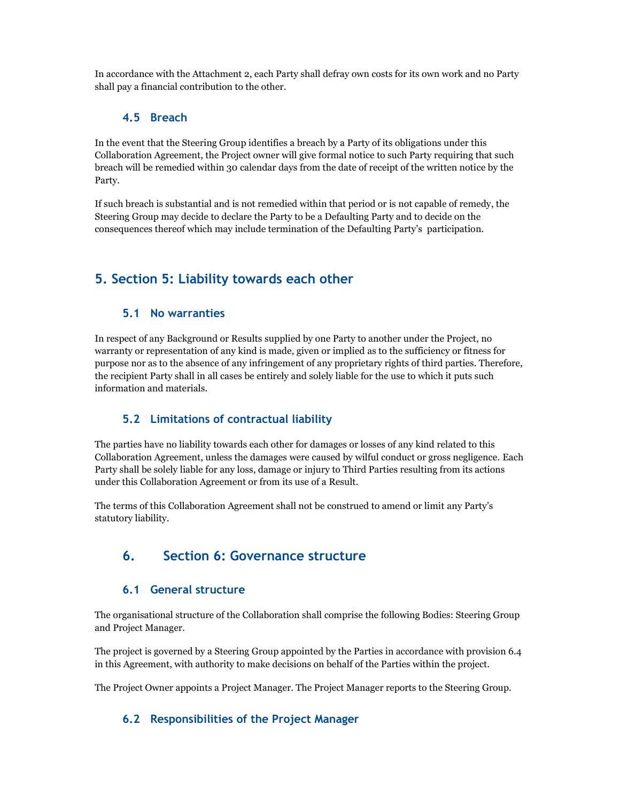In accordance with the Attachment 2, each Party shall defray own costs for its own work and no Party shall pay a financial contribution to the other.

#### **4.5 Breach**

In the event that the Steering Group identifies a breach by a Party of its obligations under this Collaboration Agreement, the Project owner will give formal notice to such Party requiring that such breach will be remedied within 30 calendar days from the date of receipt of the written notice by the Party.

If such breach is substantial and is not remedied within that period or is not capable of remedy, the Steering Group may decide to declare the Party to be a Defaulting Party and to decide on the consequences thereof which may include termination of the Defaulting Party's participation.

# **5. Section 5: Liability towards each other**

#### **5.1 No warranties**

In respect of any Background or Results supplied by one Party to another under the Project, no warranty or representation of any kind is made, given or implied as to the sufficiency or fitness for purpose nor as to the absence of any infringement of any proprietary rights of third parties. Therefore, the recipient Party shall in all cases be entirely and solely liable for the use to which it puts such information and materials.

#### **5.2 Limitations of contractual liability**

The parties have no liability towards each other for damages or losses of any kind related to this Collaboration Agreement, unless the damages were caused by wilful conduct or gross negligence. Each Party shall be solely liable for any loss, damage or injury to Third Parties resulting from its actions under this Collaboration Agreement or from its use of a Result.

The terms of this Collaboration Agreement shall not be construed to amend or limit any Party's statutory liability.

# **6. Section 6: Governance structure**

#### **6.1 General structure**

The organisational structure of the Collaboration shall comprise the following Bodies: Steering Group and Project Manager.

The project is governed by a Steering Group appointed by the Parties in accordance with provision 6.4 in this Agreement, with authority to make decisions on behalf of the Parties within the project.

The Project Owner appoints a Project Manager. The Project Manager reports to the Steering Group.

#### **6.2 Responsibilities of the Project Manager**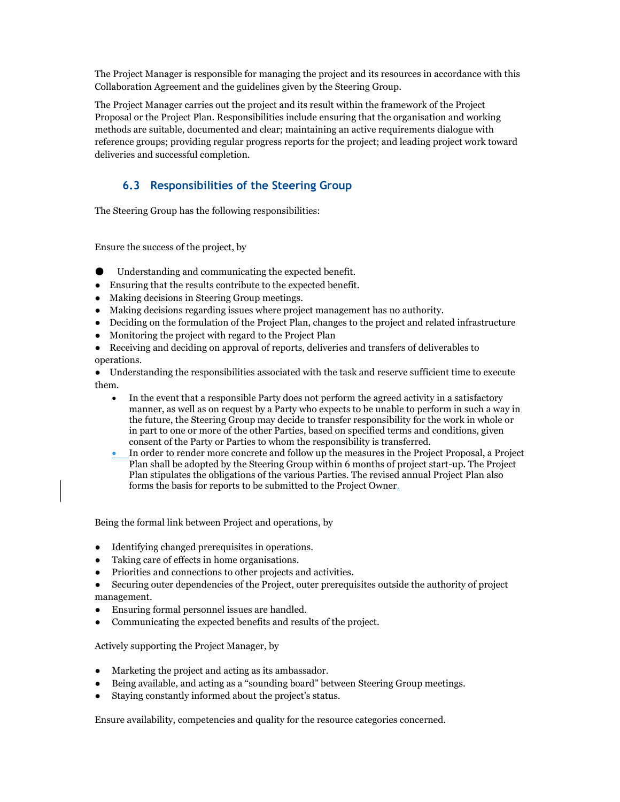The Project Manager is responsible for managing the project and its resources in accordance with this Collaboration Agreement and the guidelines given by the Steering Group.

The Project Manager carries out the project and its result within the framework of the Project Proposal or the Project Plan. Responsibilities include ensuring that the organisation and working methods are suitable, documented and clear; maintaining an active requirements dialogue with reference groups; providing regular progress reports for the project; and leading project work toward deliveries and successful completion.

## **6.3 Responsibilities of the Steering Group**

The Steering Group has the following responsibilities:

Ensure the success of the project, by

- Understanding and communicating the expected benefit.
- Ensuring that the results contribute to the expected benefit.
- Making decisions in Steering Group meetings.
- Making decisions regarding issues where project management has no authority.
- Deciding on the formulation of the Project Plan, changes to the project and related infrastructure
- Monitoring the project with regard to the Project Plan
- Receiving and deciding on approval of reports, deliveries and transfers of deliverables to operations.

● Understanding the responsibilities associated with the task and reserve sufficient time to execute them.

- In the event that a responsible Party does not perform the agreed activity in a satisfactory manner, as well as on request by a Party who expects to be unable to perform in such a way in the future, the Steering Group may decide to transfer responsibility for the work in whole or in part to one or more of the other Parties, based on specified terms and conditions, given consent of the Party or Parties to whom the responsibility is transferred.
- In order to render more concrete and follow up the measures in the Project Proposal, a Project Plan shall be adopted by the Steering Group within 6 months of project start-up. The Project Plan stipulates the obligations of the various Parties. The revised annual Project Plan also forms the basis for reports to be submitted to the Project Owner.

Being the formal link between Project and operations, by

- Identifying changed prerequisites in operations.
- Taking care of effects in home organisations.
- Priorities and connections to other projects and activities.
- Securing outer dependencies of the Project, outer prerequisites outside the authority of project management.
- Ensuring formal personnel issues are handled.
- Communicating the expected benefits and results of the project.

Actively supporting the Project Manager, by

- Marketing the project and acting as its ambassador.
- Being available, and acting as a "sounding board" between Steering Group meetings.
- Staying constantly informed about the project's status.

Ensure availability, competencies and quality for the resource categories concerned.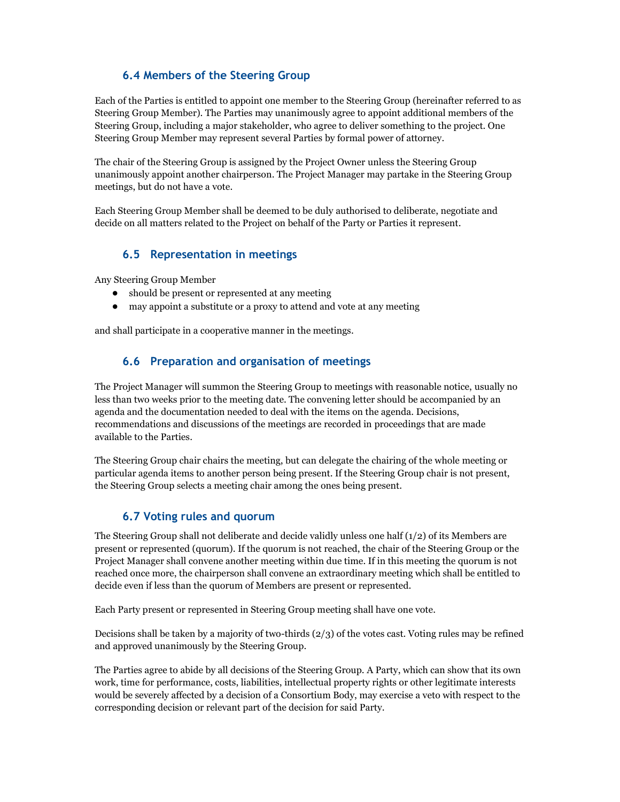#### **6.4 Members of the Steering Group**

Each of the Parties is entitled to appoint one member to the Steering Group (hereinafter referred to as Steering Group Member). The Parties may unanimously agree to appoint additional members of the Steering Group, including a major stakeholder, who agree to deliver something to the project. One Steering Group Member may represent several Parties by formal power of attorney.

The chair of the Steering Group is assigned by the Project Owner unless the Steering Group unanimously appoint another chairperson. The Project Manager may partake in the Steering Group meetings, but do not have a vote.

Each Steering Group Member shall be deemed to be duly authorised to deliberate, negotiate and decide on all matters related to the Project on behalf of the Party or Parties it represent.

#### **6.5 Representation in meetings**

Any Steering Group Member

- should be present or represented at any meeting
- may appoint a substitute or a proxy to attend and vote at any meeting

and shall participate in a cooperative manner in the meetings.

#### **6.6 Preparation and organisation of meetings**

The Project Manager will summon the Steering Group to meetings with reasonable notice, usually no less than two weeks prior to the meeting date. The convening letter should be accompanied by an agenda and the documentation needed to deal with the items on the agenda. Decisions, recommendations and discussions of the meetings are recorded in proceedings that are made available to the Parties.

The Steering Group chair chairs the meeting, but can delegate the chairing of the whole meeting or particular agenda items to another person being present. If the Steering Group chair is not present, the Steering Group selects a meeting chair among the ones being present.

#### **6.7 Voting rules and quorum**

The Steering Group shall not deliberate and decide validly unless one half (1/2) of its Members are present or represented (quorum). If the quorum is not reached, the chair of the Steering Group or the Project Manager shall convene another meeting within due time. If in this meeting the quorum is not reached once more, the chairperson shall convene an extraordinary meeting which shall be entitled to decide even if less than the quorum of Members are present or represented.

Each Party present or represented in Steering Group meeting shall have one vote.

Decisions shall be taken by a majority of two-thirds (2/3) of the votes cast. Voting rules may be refined and approved unanimously by the Steering Group.

The Parties agree to abide by all decisions of the Steering Group. A Party, which can show that its own work, time for performance, costs, liabilities, intellectual property rights or other legitimate interests would be severely affected by a decision of a Consortium Body, may exercise a veto with respect to the corresponding decision or relevant part of the decision for said Party.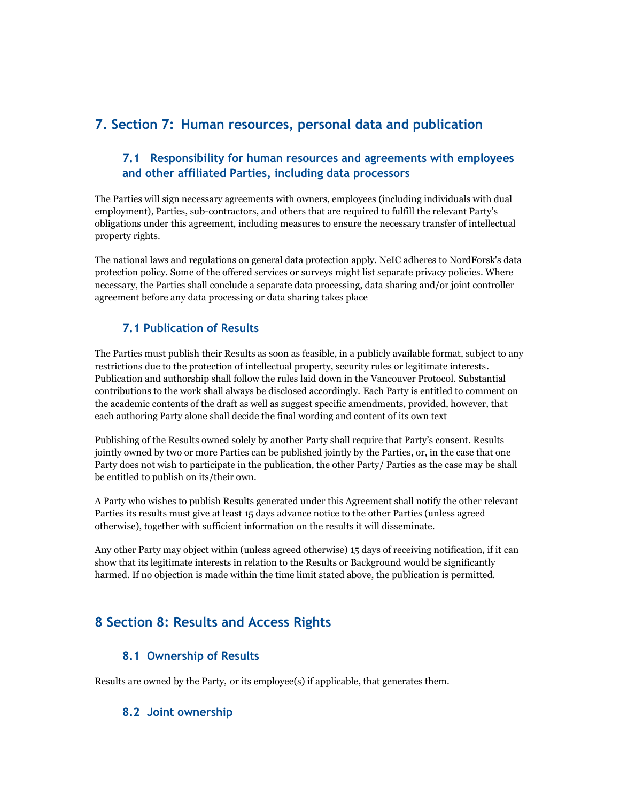# **7. Section 7: Human resources, personal data and publication**

## **7.1 Responsibility for human resources and agreements with employees and other affiliated Parties, including data processors**

The Parties will sign necessary agreements with owners, employees (including individuals with dual employment), Parties, sub-contractors, and others that are required to fulfill the relevant Party's obligations under this agreement, including measures to ensure the necessary transfer of intellectual property rights.

The national laws and regulations on general data protection apply. NeIC adheres to NordForsk's data protection policy. Some of the offered services or surveys might list separate privacy policies. Where necessary, the Parties shall conclude a separate data processing, data sharing and/or joint controller agreement before any data processing or data sharing takes place

## **7.1 Publication of Results**

The Parties must publish their Results as soon as feasible, in a publicly available format, subject to any restrictions due to the protection of intellectual property, security rules or legitimate interests. Publication and authorship shall follow the rules laid down in the Vancouver Protocol. Substantial contributions to the work shall always be disclosed accordingly. Each Party is entitled to comment on the academic contents of the draft as well as suggest specific amendments, provided, however, that each authoring Party alone shall decide the final wording and content of its own text

Publishing of the Results owned solely by another Party shall require that Party's consent. Results jointly owned by two or more Parties can be published jointly by the Parties, or, in the case that one Party does not wish to participate in the publication, the other Party/ Parties as the case may be shall be entitled to publish on its/their own.

A Party who wishes to publish Results generated under this Agreement shall notify the other relevant Parties its results must give at least 15 days advance notice to the other Parties (unless agreed otherwise), together with sufficient information on the results it will disseminate.

Any other Party may object within (unless agreed otherwise) 15 days of receiving notification, if it can show that its legitimate interests in relation to the Results or Background would be significantly harmed. If no objection is made within the time limit stated above, the publication is permitted.

# **8 Section 8: Results and Access Rights**

#### **8.1 Ownership of Results**

Results are owned by the Party, or its employee(s) if applicable, that generates them.

#### **8.2 Joint ownership**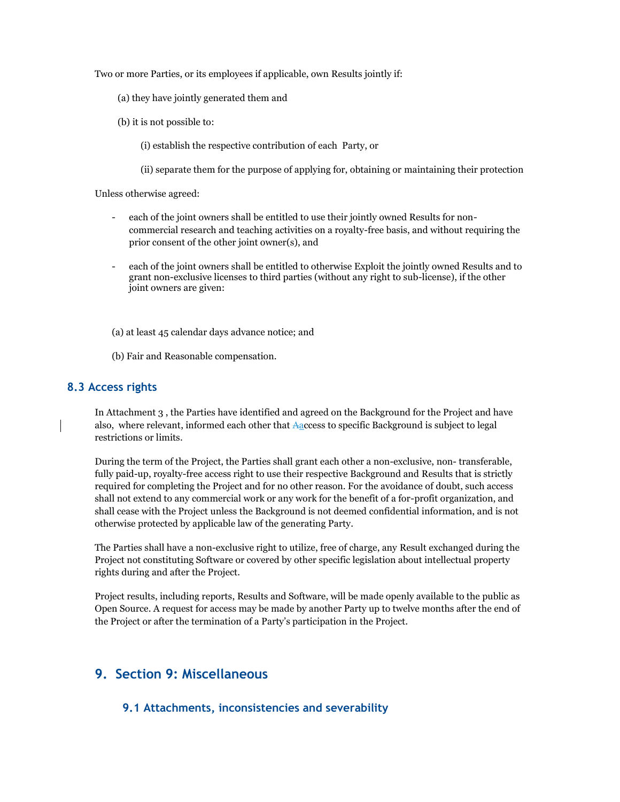Two or more Parties, or its employees if applicable, own Results jointly if:

- (a) they have jointly generated them and
- (b) it is not possible to:
	- (i) establish the respective contribution of each Party, or
	- (ii) separate them for the purpose of applying for, obtaining or maintaining their protection

Unless otherwise agreed:

- each of the joint owners shall be entitled to use their jointly owned Results for noncommercial research and teaching activities on a royalty-free basis, and without requiring the prior consent of the other joint owner(s), and
- each of the joint owners shall be entitled to otherwise Exploit the jointly owned Results and to grant non-exclusive licenses to third parties (without any right to sub-license), if the other joint owners are given:

(a) at least 45 calendar days advance notice; and

(b) Fair and Reasonable compensation.

#### **8.3 Access rights**

In Attachment 3 , the Parties have identified and agreed on the Background for the Project and have also, where relevant, informed each other that Aaccess to specific Background is subject to legal restrictions or limits.

During the term of the Project, the Parties shall grant each other a non-exclusive, non- transferable, fully paid-up, royalty-free access right to use their respective Background and Results that is strictly required for completing the Project and for no other reason. For the avoidance of doubt, such access shall not extend to any commercial work or any work for the benefit of a for-profit organization, and shall cease with the Project unless the Background is not deemed confidential information, and is not otherwise protected by applicable law of the generating Party.

The Parties shall have a non-exclusive right to utilize, free of charge, any Result exchanged during the Project not constituting Software or covered by other specific legislation about intellectual property rights during and after the Project.

Project results, including reports, Results and Software, will be made openly available to the public as Open Source. A request for access may be made by another Party up to twelve months after the end of the Project or after the termination of a Party's participation in the Project.

# **9. Section 9: Miscellaneous**

#### **9.1 Attachments, inconsistencies and severability**